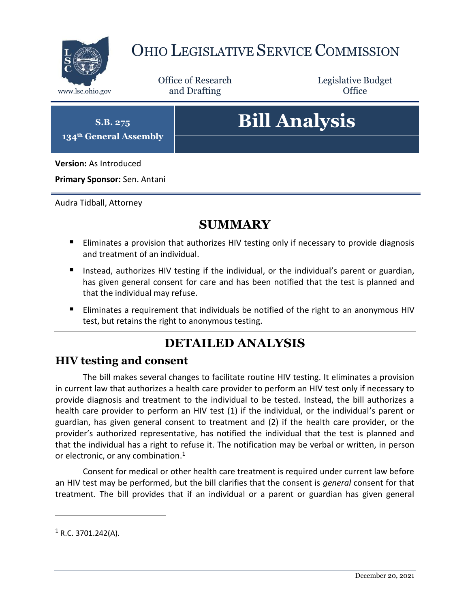

### OHIO LEGISLATIVE SERVICE COMMISSION

Office of Research www.lsc.ohio.gov **and Drafting Office** 

Legislative Budget

**S.B. 275 134th General Assembly**

## **Bill Analysis**

**Version:** As Introduced

**Primary Sponsor:** Sen. Antani

Audra Tidball, Attorney

#### **SUMMARY**

- Eliminates a provision that authorizes HIV testing only if necessary to provide diagnosis and treatment of an individual.
- Instead, authorizes HIV testing if the individual, or the individual's parent or guardian, has given general consent for care and has been notified that the test is planned and that the individual may refuse.
- Eliminates a requirement that individuals be notified of the right to an anonymous HIV test, but retains the right to anonymous testing.

#### **DETAILED ANALYSIS**

#### **HIV testing and consent**

The bill makes several changes to facilitate routine HIV testing. It eliminates a provision in current law that authorizes a health care provider to perform an HIV test only if necessary to provide diagnosis and treatment to the individual to be tested. Instead, the bill authorizes a health care provider to perform an HIV test (1) if the individual, or the individual's parent or guardian, has given general consent to treatment and (2) if the health care provider, or the provider's authorized representative, has notified the individual that the test is planned and that the individual has a right to refuse it. The notification may be verbal or written, in person or electronic, or any combination.<sup>1</sup>

Consent for medical or other health care treatment is required under current law before an HIV test may be performed, but the bill clarifies that the consent is *general* consent for that treatment. The bill provides that if an individual or a parent or guardian has given general

 $\overline{a}$ 

 $1$  R.C. 3701.242(A).